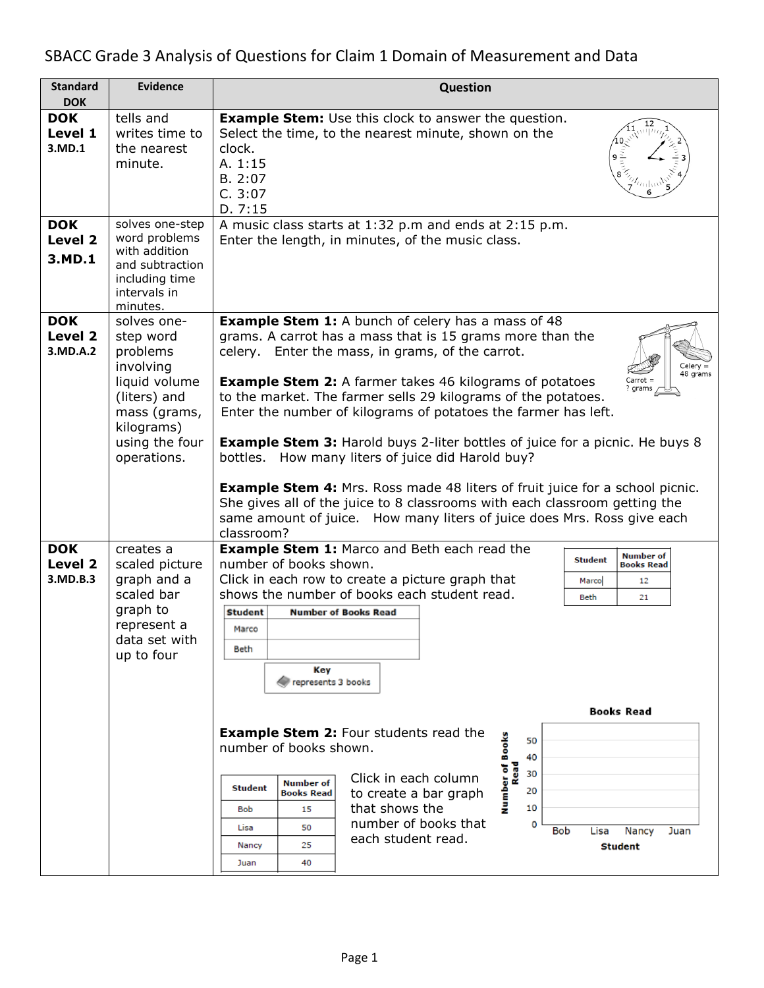# SBACC Grade 3 Analysis of Questions for Claim 1 Domain of Measurement and Data

| <b>Standard</b>                   | <b>Evidence</b>                                                                                                                                   | <b>Question</b>                                                                                                                                                                                                                                                                                                                                                                                                                                                                                                                                                                                                                                                                                                                                                                                                                            |  |  |  |  |  |  |
|-----------------------------------|---------------------------------------------------------------------------------------------------------------------------------------------------|--------------------------------------------------------------------------------------------------------------------------------------------------------------------------------------------------------------------------------------------------------------------------------------------------------------------------------------------------------------------------------------------------------------------------------------------------------------------------------------------------------------------------------------------------------------------------------------------------------------------------------------------------------------------------------------------------------------------------------------------------------------------------------------------------------------------------------------------|--|--|--|--|--|--|
| <b>DOK</b>                        |                                                                                                                                                   |                                                                                                                                                                                                                                                                                                                                                                                                                                                                                                                                                                                                                                                                                                                                                                                                                                            |  |  |  |  |  |  |
| <b>DOK</b><br>Level 1<br>3.MD.1   | tells and<br>writes time to<br>the nearest<br>minute.                                                                                             | <b>Example Stem:</b> Use this clock to answer the question.<br>Select the time, to the nearest minute, shown on the<br>clock.<br>A. 1:15<br>B. 2:07<br>C. 3:07<br>D.7:15                                                                                                                                                                                                                                                                                                                                                                                                                                                                                                                                                                                                                                                                   |  |  |  |  |  |  |
| <b>DOK</b><br>Level 2<br>3.MD.1   | solves one-step<br>word problems<br>with addition<br>and subtraction<br>including time<br>intervals in<br>minutes.                                | A music class starts at 1:32 p.m and ends at 2:15 p.m.<br>Enter the length, in minutes, of the music class.                                                                                                                                                                                                                                                                                                                                                                                                                                                                                                                                                                                                                                                                                                                                |  |  |  |  |  |  |
| <b>DOK</b><br>Level 2<br>3.MD.A.2 | solves one-<br>step word<br>problems<br>involving<br>liquid volume<br>(liters) and<br>mass (grams,<br>kilograms)<br>using the four<br>operations. | <b>Example Stem 1:</b> A bunch of celery has a mass of 48<br>grams. A carrot has a mass that is 15 grams more than the<br>celery. Enter the mass, in grams, of the carrot.<br>Celery =<br>48 grams<br><b>Example Stem 2:</b> A farmer takes 46 kilograms of potatoes<br>Carrot =<br>? grams<br>to the market. The farmer sells 29 kilograms of the potatoes.<br>Enter the number of kilograms of potatoes the farmer has left.<br><b>Example Stem 3:</b> Harold buys 2-liter bottles of juice for a picnic. He buys 8<br>bottles. How many liters of juice did Harold buy?<br><b>Example Stem 4:</b> Mrs. Ross made 48 liters of fruit juice for a school picnic.<br>She gives all of the juice to 8 classrooms with each classroom getting the<br>same amount of juice. How many liters of juice does Mrs. Ross give each<br>classroom?   |  |  |  |  |  |  |
| <b>DOK</b><br>Level 2<br>3.MD.B.3 | creates a<br>scaled picture<br>graph and a<br>scaled bar<br>graph to<br>represent a<br>data set with<br>up to four                                | <b>Example Stem 1: Marco and Beth each read the</b><br><b>Number of</b><br><b>Student</b><br>number of books shown.<br><b>Books Read</b><br>Click in each row to create a picture graph that<br>12<br>Marco<br>shows the number of books each student read.<br>Beth<br>21<br><b>Number of Books Read</b><br><b>Student</b><br>Marco<br>Beth<br>Key<br>represents 3 books<br><b>Books Read</b><br><b>Example Stem 2: Four students read the</b><br><b>Number of Books</b><br>50<br>number of books shown.<br>40<br>Read<br>30<br>Click in each column<br><b>Number of</b><br><b>Student</b><br>20<br><b>Books Read</b><br>to create a bar graph<br>that shows the<br>10<br>15<br>Bob<br>number of books that<br>o<br>50<br>Lisa<br><b>Bob</b><br>Lisa<br>Nancy<br>Juan<br>each student read.<br>25<br>Nancy<br><b>Student</b><br>40<br>Juan |  |  |  |  |  |  |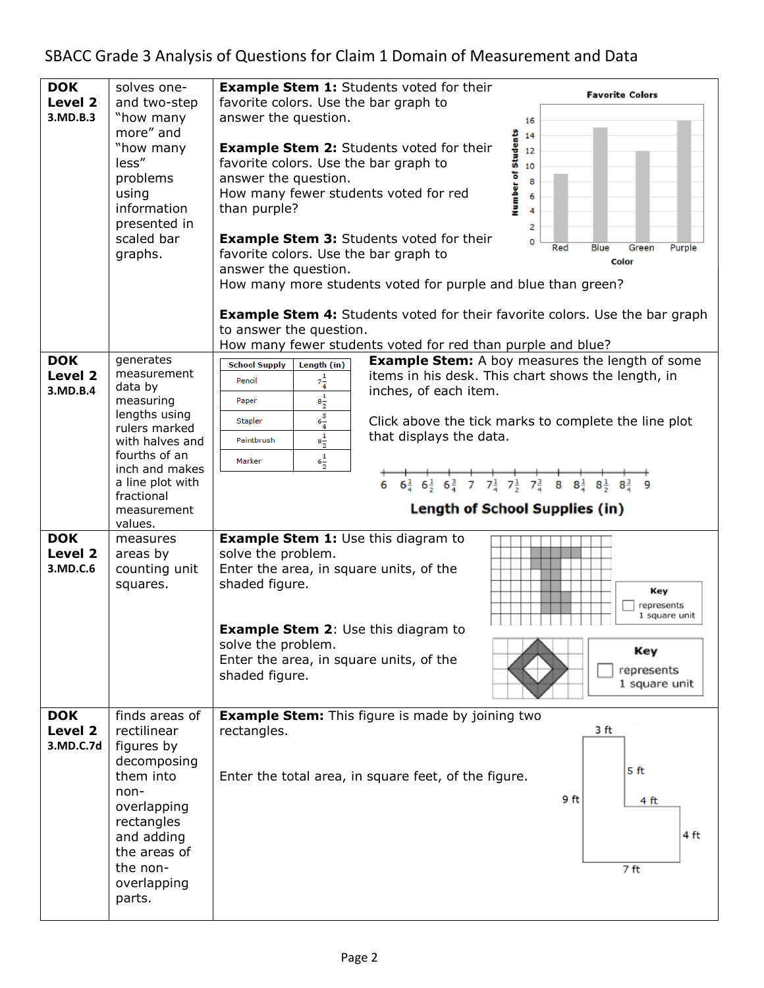| <b>DOK</b><br>Level 2<br>3.MD.B.3 | solves one-<br>and two-step<br>"how many<br>more" and<br>"how many<br>less"<br>problems<br>using<br>information<br>presented in<br>scaled bar<br>graphs.                                             | <b>Example Stem 1:</b> Students voted for their<br><b>Favorite Colors</b><br>favorite colors. Use the bar graph to<br>answer the question.<br>16<br>Number of Students<br>14<br><b>Example Stem 2:</b> Students voted for their<br>12<br>favorite colors. Use the bar graph to<br>10<br>answer the question.<br>8<br>How many fewer students voted for red<br>than purple?<br>2<br><b>Example Stem 3: Students voted for their</b><br>o<br>Blue<br>Red<br>Green<br>Purple<br>favorite colors. Use the bar graph to<br>Color<br>answer the question.<br>How many more students voted for purple and blue than green? |
|-----------------------------------|------------------------------------------------------------------------------------------------------------------------------------------------------------------------------------------------------|---------------------------------------------------------------------------------------------------------------------------------------------------------------------------------------------------------------------------------------------------------------------------------------------------------------------------------------------------------------------------------------------------------------------------------------------------------------------------------------------------------------------------------------------------------------------------------------------------------------------|
|                                   |                                                                                                                                                                                                      | <b>Example Stem 4:</b> Students voted for their favorite colors. Use the bar graph<br>to answer the question.<br>How many fewer students voted for red than purple and blue?                                                                                                                                                                                                                                                                                                                                                                                                                                        |
| <b>DOK</b><br>Level 2<br>3.MD.B.4 | generates<br>measurement<br>data by<br>measuring<br>lengths using<br>rulers marked<br>with halves and<br>fourths of an<br>inch and makes<br>a line plot with<br>fractional<br>measurement<br>values. | <b>Example Stem:</b> A boy measures the length of some<br>Length $(in)$<br><b>School Supply</b><br>items in his desk. This chart shows the length, in<br>$7\frac{1}{4}$<br>Pencil<br>inches, of each item.<br>$\mathbf{8\frac{1}{2}}$<br>Paper<br>$6\frac{3}{4}$<br>Stapler<br>Click above the tick marks to complete the line plot<br>$8\frac{1}{2}$<br>that displays the data.<br>Paintbrush<br>$6\frac{1}{2}$<br>Marker<br>$6\frac{1}{4}$ $6\frac{1}{2}$ $6\frac{3}{4}$ 7 $7\frac{1}{4}$ $7\frac{1}{2}$ $7\frac{3}{4}$ 8 $8\frac{1}{4}$ $8\frac{1}{2}$ $8\frac{1}{4}$ 9<br>6<br>Length of School Supplies (in)   |
| <b>DOK</b>                        |                                                                                                                                                                                                      |                                                                                                                                                                                                                                                                                                                                                                                                                                                                                                                                                                                                                     |
| Level 2<br>3.MD.C.6               | measures<br>areas by<br>counting unit<br>squares.                                                                                                                                                    | <b>Example Stem 1:</b> Use this diagram to<br>solve the problem.<br>Enter the area, in square units, of the<br>shaded figure.<br>Key<br>represents<br>1 square unit<br><b>Example Stem 2: Use this diagram to</b><br>solve the problem.<br>Key<br>Enter the area, in square units, of the<br>represents<br>shaded figure.<br>1 square unit                                                                                                                                                                                                                                                                          |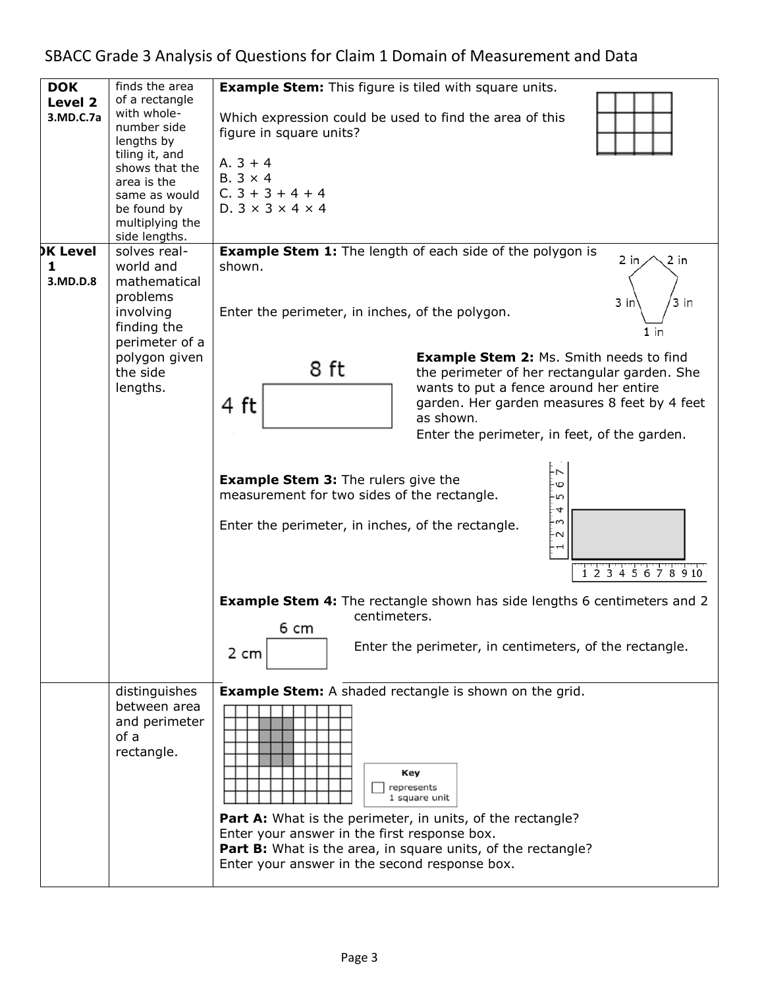# SBACC Grade 3 Analysis of Questions for Claim 1 Domain of Measurement and Data

| <b>DOK</b><br>Level 2 | finds the area<br>of a rectangle                                                                                                                                | <b>Example Stem:</b> This figure is tiled with square units.                                                                                                                                     |  |  |  |  |  |
|-----------------------|-----------------------------------------------------------------------------------------------------------------------------------------------------------------|--------------------------------------------------------------------------------------------------------------------------------------------------------------------------------------------------|--|--|--|--|--|
| 3.MD.C.7a             | with whole-<br>number side<br>lengths by<br>tiling it, and<br>shows that the<br>area is the<br>same as would<br>be found by<br>multiplying the<br>side lengths. | Which expression could be used to find the area of this<br>figure in square units?<br>$A.3 + 4$<br>$B.3 \times 4$<br>$C.3 + 3 + 4 + 4$<br>$D.3 \times 3 \times 4 \times 4$                       |  |  |  |  |  |
| <b>DK Level</b>       | solves real-                                                                                                                                                    | <b>Example Stem 1:</b> The length of each side of the polygon is                                                                                                                                 |  |  |  |  |  |
| 1<br>3.MD.D.8         | world and<br>mathematical<br>problems<br>involving<br>finding the<br>perimeter of a                                                                             | $2$ in<br>2 in<br>shown.<br>3 in<br>3 in<br>Enter the perimeter, in inches, of the polygon.<br>1 in                                                                                              |  |  |  |  |  |
|                       | polygon given<br>the side                                                                                                                                       | <b>Example Stem 2: Ms. Smith needs to find</b><br>8 ft<br>the perimeter of her rectangular garden. She                                                                                           |  |  |  |  |  |
|                       | lengths.                                                                                                                                                        | wants to put a fence around her entire                                                                                                                                                           |  |  |  |  |  |
|                       |                                                                                                                                                                 | garden. Her garden measures 8 feet by 4 feet<br>4 ft<br>as shown.                                                                                                                                |  |  |  |  |  |
|                       |                                                                                                                                                                 | Enter the perimeter, in feet, of the garden.                                                                                                                                                     |  |  |  |  |  |
|                       |                                                                                                                                                                 | <b>Example Stem 3: The rulers give the</b><br>ė<br>measurement for two sides of the rectangle.<br>ġ<br>4<br>ς.<br>Enter the perimeter, in inches, of the rectangle.<br>ż<br>1 2 3 4 5 6 7 8 9 10 |  |  |  |  |  |
|                       |                                                                                                                                                                 | <b>Example Stem 4:</b> The rectangle shown has side lengths 6 centimeters and 2                                                                                                                  |  |  |  |  |  |
|                       |                                                                                                                                                                 | centimeters.<br>6 cm                                                                                                                                                                             |  |  |  |  |  |
|                       |                                                                                                                                                                 | Enter the perimeter, in centimeters, of the rectangle.<br>2 cm                                                                                                                                   |  |  |  |  |  |
|                       | distinguishes<br>between area<br>and perimeter<br>of a<br>rectangle.                                                                                            | <b>Example Stem:</b> A shaded rectangle is shown on the grid.<br>Key<br>represents<br>1 square unit                                                                                              |  |  |  |  |  |
|                       |                                                                                                                                                                 | <b>Part A:</b> What is the perimeter, in units, of the rectangle?                                                                                                                                |  |  |  |  |  |
|                       |                                                                                                                                                                 | Enter your answer in the first response box.<br><b>Part B:</b> What is the area, in square units, of the rectangle?                                                                              |  |  |  |  |  |
|                       |                                                                                                                                                                 | Enter your answer in the second response box.                                                                                                                                                    |  |  |  |  |  |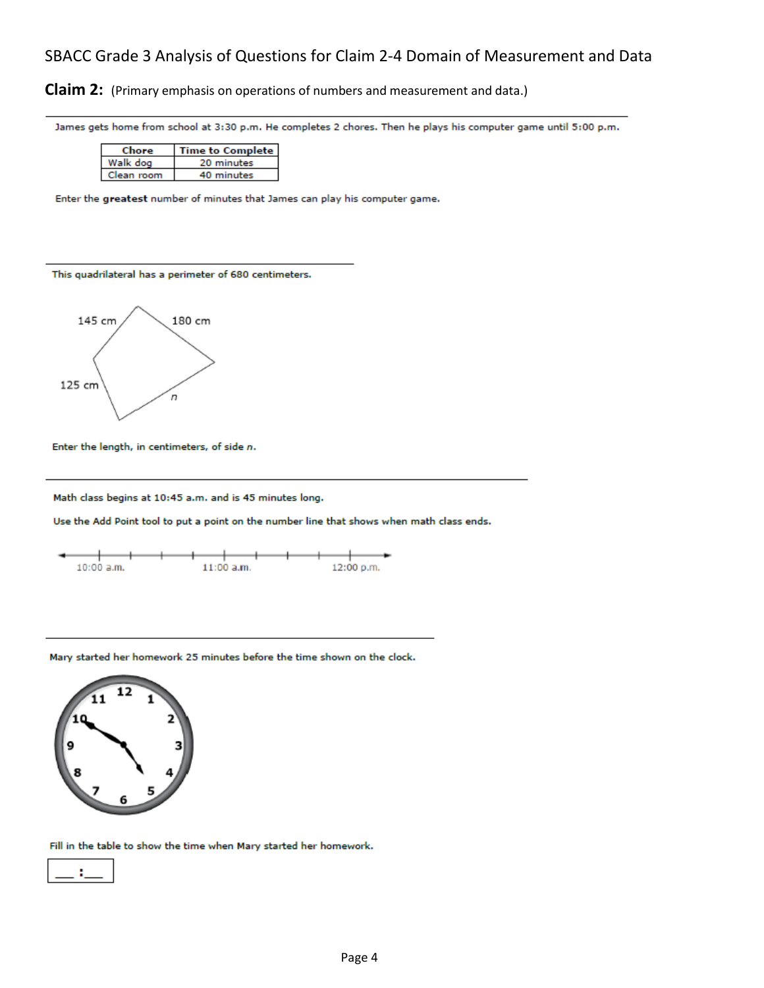### SBACC Grade 3 Analysis of Questions for Claim 2-4 Domain of Measurement and Data

**Claim 2:** (Primary emphasis on operations of numbers and measurement and data.)

James gets home from school at 3:30 p.m. He completes 2 chores. Then he plays his computer game until 5:00 p.m.

| Chore      | Time to Complete |  |  |  |  |
|------------|------------------|--|--|--|--|
| Walk dog   | 20 minutes       |  |  |  |  |
| 'lean room | 40 minutes       |  |  |  |  |

Enter the greatest number of minutes that James can play his computer game.

This quadrilateral has a perimeter of 680 centimeters.



Enter the length, in centimeters, of side n.

Math class begins at 10:45 a.m. and is 45 minutes long.

Use the Add Point tool to put a point on the number line that shows when math class ends.



Mary started her homework 25 minutes before the time shown on the clock.



Fill in the table to show the time when Mary started her homework.